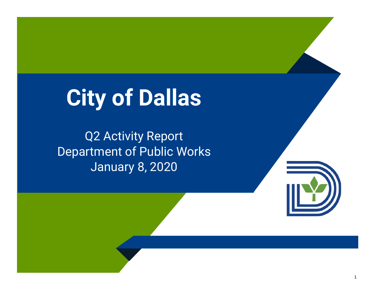# **City of Dallas**

Q2 Activity Report Department of Public Works January 8, 2020

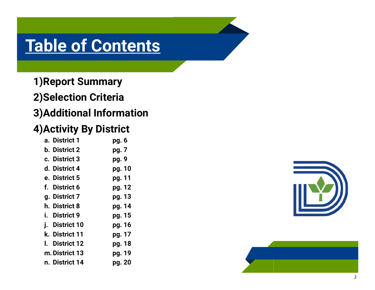## **Table of Contents**

**1)Report Summary 2)Selection Criteria 3)Additional Information**

#### **4)Activity By District**

|    | a. District 1         | pg. 6  |
|----|-----------------------|--------|
|    | <b>b.</b> District 2  | pg. 7  |
|    | c. District 3         | pg. 9  |
|    | d. District 4         | pg. 10 |
|    | e. District 5         | pg. 11 |
|    | f. District 6         | pg. 12 |
|    | g. District 7         | pg. 13 |
|    | h. District 8         | pg. 14 |
|    | i. District 9         | pg. 15 |
|    | <i>i.</i> District 10 | pg. 16 |
|    | k. District 11        | pg. 17 |
| L. | <b>District 12</b>    | pg. 18 |
|    | m. District 13        | pg. 19 |
|    | n. District 14        | pg. 20 |



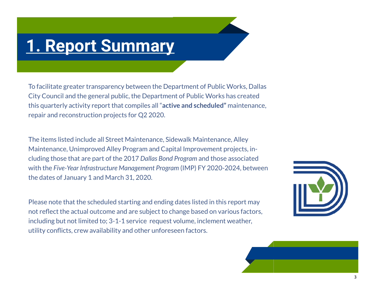### **1. Report Summary**

To facilitate greater transparency between the Department of Public Works, Dallas City Council and the general public, the Department of Public Works has created this quarterly activity report that compiles all "**active and scheduled"** maintenance, repair and reconstruction projects for Q2 2020.

The items listed include all Street Maintenance, Sidewalk Maintenance, Alley Maintenance, Unimproved Alley Program and Capital Improvement projects, including those that are part of the 2017 *Dallas Bond Program* and those associated with the *Five-Year Infrastructure Management Program* (IMP) FY 2020-2024, between the dates of January 1 and March 31, 2020.

Please note that the scheduled starting and ending dates listed in this report may not reflect the actual outcome and are subject to change based on various factors, including but not limited to; 3-1-1 service request volume, inclement weather, utility conflicts, crew availability and other unforeseen factors.



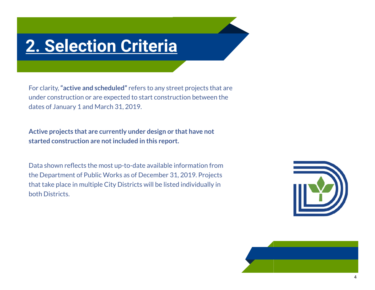### **2. Selection Criteria**

For clarity, **"active and scheduled"** refers to any street projects that are under construction or are expected to start construction between the dates of January 1 and March 31, 2019.

**Active projects that are currently under design or that have not started construction are not included in this report.**

Data shown reflects the most up-to-date available information from the Department of Public Works as of December 31, 2019. Projects that take place in multiple City Districts will be listed individually in both Districts.



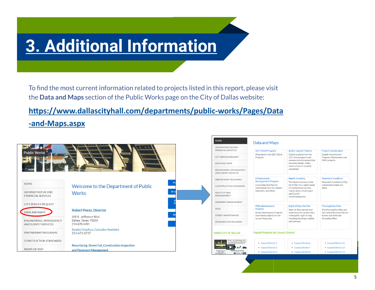# **3. Additional Information**

To find the most current information related to projects listed in this report, please visit the **Data and Maps** section of the Public Works page on the City of Dallas website:

#### **[https://www.dallascityhall.com/departments/public](https://www.dallascityhall.com/departments/public-works/Pages/Data-and-Maps.aspx)-works/Pages/Data**

**-and-[Maps.aspx](https://www.dallascityhall.com/departments/public-works/Pages/Data-and-Maps.aspx)**

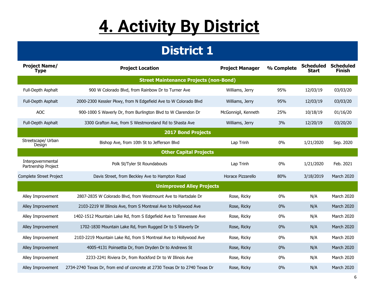# **4. Activity By District**

| <b>Project Name/</b><br><b>Type</b>      | <b>Project Location</b>                                                    | <b>Project Manager</b> | % Complete | <b>Scheduled</b><br><b>Start</b> | <b>Scheduled</b><br><b>Finish</b> |  |  |
|------------------------------------------|----------------------------------------------------------------------------|------------------------|------------|----------------------------------|-----------------------------------|--|--|
|                                          | <b>Street Maintenance Projects (non-Bond)</b>                              |                        |            |                                  |                                   |  |  |
| Full-Depth Asphalt                       | 900 W Colorado Blvd, from Rainbow Dr to Turner Ave                         | Williams, Jerry        | 95%        | 12/03/19                         | 03/03/20                          |  |  |
| Full-Depth Asphalt                       | 2000-2300 Kessler Pkwy, from N Edgefield Ave to W Colorado Blvd            | Williams, Jerry        | 95%        | 12/03/19                         | 03/03/20                          |  |  |
| <b>AOC</b>                               | 900-1000 S Waverly Dr, from Burlington Blvd to W Clarendon Dr              | McGonnigil, Kenneth    | 25%        | 10/18/19                         | 01/16/20                          |  |  |
| Full-Depth Asphalt                       | 3300 Grafton Ave, from S Westmoreland Rd to Shasta Ave                     | Williams, Jerry        | 3%         | 12/20/19                         | 03/20/20                          |  |  |
| <b>2017 Bond Projects</b>                |                                                                            |                        |            |                                  |                                   |  |  |
| Streetscape/ Urban<br>Design             | Bishop Ave, from 10th St to Jefferson Blvd                                 | Lap Trinh              | 0%         | 1/21/2020                        | Sep. 2020                         |  |  |
|                                          | <b>Other Capital Projects</b>                                              |                        |            |                                  |                                   |  |  |
| Intergovernmental<br>Partnership Project | Polk St/Tyler St Roundabouts                                               | Lap Trinh              | 0%         | 1/21/2020                        | Feb. 2021                         |  |  |
| Complete Street Project                  | Davis Street, from Beckley Ave to Hampton Road                             | Horace Pizzarello      | 80%        | 3/18/2019                        | March 2020                        |  |  |
|                                          | <b>Unimproved Alley Projects</b>                                           |                        |            |                                  |                                   |  |  |
| Alley Improvement                        | 2807-2835 W Colorado Blvd, from Westmount Ave to Hartsdale Dr              | Rose, Ricky            | 0%         | N/A                              | March 2020                        |  |  |
| Alley Improvement                        | 2103-2219 W Illinois Ave, from S Montreal Ave to Hollywood Ave             | Rose, Ricky            | 0%         | N/A                              | March 2020                        |  |  |
| Alley Improvement                        | 1402-1512 Mountain Lake Rd, from S Edgefield Ave to Tennessee Ave          | Rose, Ricky            | 0%         | N/A                              | March 2020                        |  |  |
| Alley Improvement                        | 1702-1830 Mountain Lake Rd, from Rugged Dr to S Waverly Dr                 | Rose, Ricky            | 0%         | N/A                              | March 2020                        |  |  |
| Alley Improvement                        | 2103-2219 Mountain Lake Rd, from S Montreal Ave to Hollywood Ave           | Rose, Ricky            | 0%         | N/A                              | March 2020                        |  |  |
| Alley Improvement                        | 4005-4131 Poinsettia Dr, from Dryden Dr to Andrews St                      | Rose, Ricky            | 0%         | N/A                              | March 2020                        |  |  |
| Alley Improvement                        | 2233-2241 Riviera Dr, from Rockford Dr to W Illinois Ave                   | Rose, Ricky            | 0%         | N/A                              | March 2020                        |  |  |
| Alley Improvement                        | 2734-2740 Texas Dr, from end of concrete at 2730 Texas Dr to 2740 Texas Dr | Rose, Ricky            | 0%         | N/A                              | March 2020                        |  |  |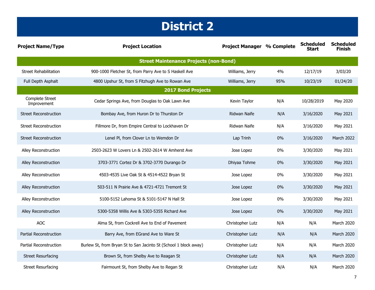| <b>Project Name/Type</b>       | <b>Project Location</b>                                          | <b>Project Manager % Complete</b> |       | <b>Scheduled</b><br>Start | <b>Scheduled</b><br><b>Finish</b> |
|--------------------------------|------------------------------------------------------------------|-----------------------------------|-------|---------------------------|-----------------------------------|
|                                | <b>Street Maintenance Projects (non-Bond)</b>                    |                                   |       |                           |                                   |
| <b>Street Rehabilitation</b>   | 900-1000 Fletcher St, from Parry Ave to S Haskell Ave            | Williams, Jerry                   | 4%    | 12/17/19                  | 3/03/20                           |
| Full Depth Asphalt             | 4800 Upshur St, from S Fitzhugh Ave to Rowan Ave                 | Williams, Jerry                   | 95%   | 10/23/19                  | 01/24/20                          |
|                                | <b>2017 Bond Projects</b>                                        |                                   |       |                           |                                   |
| Complete Street<br>Improvement | Cedar Springs Ave, from Douglas to Oak Lawn Ave                  | Kevin Taylor                      | N/A   | 10/28/2019                | May 2020                          |
| <b>Street Reconstruction</b>   | Bombay Ave, from Huron Dr to Thurston Dr                         | Ridwan Naife                      | N/A   | 3/16/2020                 | May 2021                          |
| <b>Street Reconstruction</b>   | Fillmore Dr, from Empire Central to Lockhaven Dr                 | Ridwan Naife                      | N/A   | 3/16/2020                 | May 2021                          |
| <b>Street Reconstruction</b>   | Lenel Pl, from Clover Ln to Wemdon Dr                            | Lap Trinh                         | $0\%$ | 3/16/2020                 | March 2022                        |
| Alley Reconstruction           | 2503-2623 W Lovers Ln & 2502-2614 W Amherst Ave                  | Jose Lopez                        | 0%    | 3/30/2020                 | May 2021                          |
| Alley Reconstruction           | 3703-3771 Cortez Dr & 3702-3770 Durango Dr                       | Dhiyaa Tohme                      | $0\%$ | 3/30/2020                 | May 2021                          |
| Alley Reconstruction           | 4503-4535 Live Oak St & 4514-4522 Bryan St                       | Jose Lopez                        | 0%    | 3/30/2020                 | May 2021                          |
| <b>Alley Reconstruction</b>    | 503-511 N Prairie Ave & 4721-4721 Tremont St                     | Jose Lopez                        | $0\%$ | 3/30/2020                 | May 2021                          |
| Alley Reconstruction           | 5100-5152 Lahoma St & 5101-5147 N Hall St                        | Jose Lopez                        | 0%    | 3/30/2020                 | May 2021                          |
| Alley Reconstruction           | 5300-5358 Willis Ave & 5303-5355 Richard Ave                     | Jose Lopez                        | 0%    | 3/30/2020                 | May 2021                          |
| <b>AOC</b>                     | Alma St, from Cockrell Ave to End of Pavement                    | Christopher Lutz                  | N/A   | N/A                       | March 2020                        |
| Partial Reconstruction         | Barry Ave, from EGrand Ave to Ware St                            | Christopher Lutz                  | N/A   | N/A                       | March 2020                        |
| Partial Reconstruction         | Burlew St, from Bryan St to San Jacinto St (School 1 block away) | Christopher Lutz                  | N/A   | N/A                       | <b>March 2020</b>                 |
| <b>Street Resurfacing</b>      | Brown St, from Shelby Ave to Reagan St                           | Christopher Lutz                  | N/A   | N/A                       | March 2020                        |
| <b>Street Resurfacing</b>      | Fairmount St, from Shelby Ave to Regan St                        | Christopher Lutz                  | N/A   | N/A                       | March 2020                        |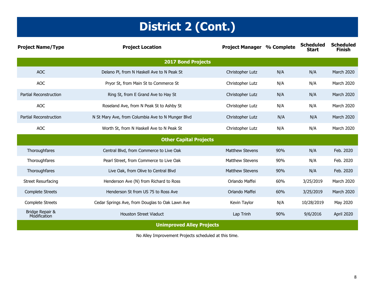### **District 2 (Cont.)**

| <b>Project Name/Type</b>        | <b>Project Location</b>                           | <b>Project Manager % Complete</b> |     | <b>Scheduled</b><br>Start | <b>Scheduled</b><br><b>Finish</b> |
|---------------------------------|---------------------------------------------------|-----------------------------------|-----|---------------------------|-----------------------------------|
|                                 | <b>2017 Bond Projects</b>                         |                                   |     |                           |                                   |
| <b>AOC</b>                      | Delano Pl, from N Haskell Ave to N Peak St        | Christopher Lutz                  | N/A | N/A                       | <b>March 2020</b>                 |
| <b>AOC</b>                      | Pryor St, from Main St to Commerce St             | Christopher Lutz                  | N/A | N/A                       | <b>March 2020</b>                 |
| <b>Partial Reconstruction</b>   | Ring St, from E Grand Ave to Hay St               | Christopher Lutz                  | N/A | N/A                       | <b>March 2020</b>                 |
| <b>AOC</b>                      | Roseland Ave, from N Peak St to Ashby St          | Christopher Lutz                  | N/A | N/A                       | March 2020                        |
| <b>Partial Reconstruction</b>   | N St Mary Ave, from Columbia Ave to N Munger Blvd | Christopher Lutz                  | N/A | N/A                       | March 2020                        |
| <b>AOC</b>                      | Worth St, from N Haskell Ave to N Peak St         | Christopher Lutz                  | N/A | N/A                       | March 2020                        |
|                                 | <b>Other Capital Projects</b>                     |                                   |     |                           |                                   |
| Thoroughfares                   | Central Blvd, from Commerce to Live Oak           | <b>Matthew Stevens</b>            | 90% | N/A                       | Feb. 2020                         |
| Thoroughfares                   | Pearl Street, from Commerce to Live Oak           | <b>Matthew Stevens</b>            | 90% | N/A                       | Feb. 2020                         |
| Thoroughfares                   | Live Oak, from Olive to Central Blvd              | <b>Matthew Stevens</b>            | 90% | N/A                       | Feb. 2020                         |
| <b>Street Resurfacing</b>       | Henderson Ave (N) from Richard to Ross            | Orlando Maffei                    | 60% | 3/25/2019                 | <b>March 2020</b>                 |
| <b>Complete Streets</b>         | Henderson St from US 75 to Ross Ave               | Orlando Maffei                    | 60% | 3/25/2019                 | March 2020                        |
| <b>Complete Streets</b>         | Cedar Springs Ave, from Douglas to Oak Lawn Ave   | Kevin Taylor                      | N/A | 10/28/2019                | May 2020                          |
| Bridge Repair &<br>Modification | <b>Houston Street Viaduct</b>                     | Lap Trinh                         | 90% | 9/6/2016                  | April 2020                        |
|                                 | <b>Unimproved Alley Projects</b>                  |                                   |     |                           |                                   |

No Alley Improvement Projects scheduled at this time.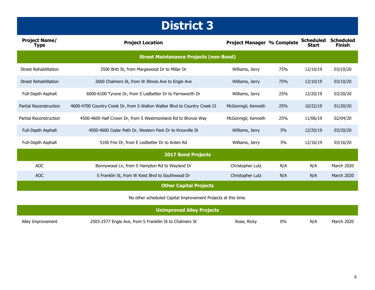| <b>Project Name/</b><br><b>Type</b> | <b>Project Location</b>                                                   | <b>Project Manager % Complete</b> |     | <b>Scheduled</b><br>Start | <b>Scheduled</b><br><b>Finish</b> |
|-------------------------------------|---------------------------------------------------------------------------|-----------------------------------|-----|---------------------------|-----------------------------------|
|                                     | <b>Street Maintenance Projects (non-Bond)</b>                             |                                   |     |                           |                                   |
| Street Rehabilitation               | 3500 Britt St, from Margewood Dr to Millar Dr                             | Williams, Jerry                   | 75% | 12/10/19                  | 03/10/20                          |
| Street Rehabilitation               | 2600 Chalmers St, from W Illinois Ave to Engle Ave                        | Williams, Jerry                   | 75% | 12/10/19                  | 03/10/20                          |
| Full-Depth Asphalt                  | 6000-6100 Tyrone Dr, from S Ledbetter Dr to Farnsworth Dr                 | Williams, Jerry                   | 25% | 12/20/19                  | 03/20/20                          |
| <b>Partial Reconstruction</b>       | 4600-4700 Country Creek Dr, from S Walton Walker Blvd to Country Creek Ct | McGonnigil, Kenneth               | 25% | 10/22/19                  | 01/20/20                          |
| Partial Reconstruction              | 4500-4600 Half Crown Dr, from S Westmoreland Rd to Bronze Way             | McGonnigil, Kenneth               | 25% | 11/06/19                  | 02/04/20                          |
| Full-Depth Asphalt                  | 4500-4600 Cedar Path Dr, Western Park Dr to Knoxville St                  | Williams, Jerry                   | 3%  | 12/20/19                  | 03/20/20                          |
| Full-Depth Asphalt                  | 5100 Frio Dr, from E Ledbetter Dr to Arden Rd                             | Williams, Jerry                   | 3%  | 12/16/19                  | 03/16/20                          |
|                                     | <b>2017 Bond Projects</b>                                                 |                                   |     |                           |                                   |
| <b>AOC</b>                          | Bonnywood Ln, from S Hampton Rd to Wayland Dr                             | Christopher Lutz                  | N/A | N/A                       | March 2020                        |
| <b>AOC</b>                          | S Franklin St, from W Kiest Blvd to Southwood Dr                          | Christopher Lutz                  | N/A | N/A                       | March 2020                        |
|                                     | <b>Other Capital Projects</b>                                             |                                   |     |                           |                                   |

No other scheduled Capital Improvement Projects at this time.

|                   | <b>Unimproved Alley Projects</b>                        |             |    |     |            |
|-------------------|---------------------------------------------------------|-------------|----|-----|------------|
| Alley Improvement | 2503-2577 Engle Ave, from S Frankllin St to Chalmers St | Rose, Ricky | 0% | N/A | March 2020 |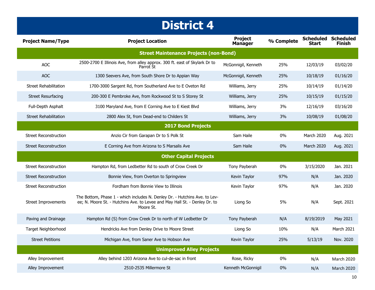| <b>Project Name/Type</b>     | <b>Project Location</b>                                                                                                                                               | <b>Project</b><br><b>Manager</b> | % Complete | <b>Scheduled Scheduled</b><br>Start | <b>Finish</b>     |
|------------------------------|-----------------------------------------------------------------------------------------------------------------------------------------------------------------------|----------------------------------|------------|-------------------------------------|-------------------|
|                              | <b>Street Maintenance Projects (non-Bond)</b>                                                                                                                         |                                  |            |                                     |                   |
| <b>AOC</b>                   | 2500-2700 E Illinois Ave, from alley approx. 300 ft. east of Skylark Dr to<br>Parrot St                                                                               | McGonnigil, Kenneth              | 25%        | 12/03/19                            | 03/02/20          |
| <b>AOC</b>                   | 1300 Seevers Ave, from South Shore Dr to Appian Way                                                                                                                   | McGonnigil, Kenneth              | 25%        | 10/18/19                            | 01/16/20          |
| <b>Street Rehabilitation</b> | 1700-3000 Sargent Rd, from Southerland Ave to E Oveton Rd                                                                                                             | Williams, Jerry                  | 25%        | 10/14/19                            | 01/14/20          |
| <b>Street Resurfacing</b>    | 200-300 E Pembroke Ave, from Rockwood St to S Storey St                                                                                                               | Williams, Jerry                  | 25%        | 10/15/19                            | 01/15/20          |
| Full-Depth Asphalt           | 3100 Maryland Ave, from E Corning Ave to E Kiest Blvd                                                                                                                 | Williams, Jerry                  | 3%         | 12/16/19                            | 03/16/20          |
| <b>Street Rehabilitation</b> | 2800 Alex St, from Dead-end to Childers St                                                                                                                            | Williams, Jerry                  | 3%         | 10/08/19                            | 01/08/20          |
|                              | <b>2017 Bond Projects</b>                                                                                                                                             |                                  |            |                                     |                   |
| <b>Street Reconstruction</b> | Anzio Cir from Garapan Dr to S Polk St                                                                                                                                | Sam Haile                        | $0\%$      | March 2020                          | Aug. 2021         |
| <b>Street Reconstruction</b> | E Corning Ave from Arizona to S Marsalis Ave                                                                                                                          | Sam Haile                        | 0%         | March 2020                          | Aug. 2021         |
|                              | <b>Other Capital Projects</b>                                                                                                                                         |                                  |            |                                     |                   |
| <b>Street Reconstruction</b> | Hampton Rd, from Ledbetter Rd to south of Crow Creek Dr                                                                                                               | Tony Payberah                    | $0\%$      | 3/15/2020                           | Jan. 2021         |
| <b>Street Reconstruction</b> | Bonnie View, from Overton to Springview                                                                                                                               | Kevin Taylor                     | 97%        | N/A                                 | Jan. 2020         |
| <b>Street Reconstruction</b> | Fordham from Bonnie View to Illinois                                                                                                                                  | Kevin Taylor                     | 97%        | N/A                                 | Jan. 2020         |
| <b>Street Improvements</b>   | The Bottom, Phase 1 - which includes N. Denley Dr. - Hutchins Ave. to Lev-<br>ee; N. Moore St. - Hutchins Ave. to Levee and May Hall St. - Denley Dr. to<br>Moore St. | Liong So                         | 5%         | N/A                                 | Sept. 2021        |
| Paving and Drainage          | Hampton Rd (S) from Crow Creek Dr to north of W Ledbetter Dr                                                                                                          | Tony Payberah                    | N/A        | 8/19/2019                           | May 2021          |
| Target Neighborhood          | Hendricks Ave from Denley Drive to Moore Street                                                                                                                       | Liong So                         | 10%        | N/A                                 | March 2021        |
| <b>Street Petitions</b>      | Michigan Ave, from Saner Ave to Hobson Ave                                                                                                                            | Kevin Taylor                     | 25%        | 5/13/19                             | Nov. 2020         |
|                              | <b>Unimproved Alley Projects</b>                                                                                                                                      |                                  |            |                                     |                   |
| Alley Improvement            | Alley behind 1203 Arizona Ave to cul-de-sac in front                                                                                                                  | Rose, Ricky                      | $0\%$      | N/A                                 | <b>March 2020</b> |
| Alley Improvement            | 2510-2535 Millermore St                                                                                                                                               | Kenneth McGonnigil               | $0\%$      | N/A                                 | <b>March 2020</b> |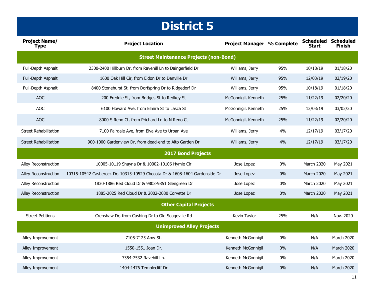| <b>Project Name/</b><br><b>Type</b> | <b>Project Location</b>                                                     | <b>Project Manager % Complete</b> |       | <b>Scheduled Scheduled</b><br>Start | <b>Finish</b>     |
|-------------------------------------|-----------------------------------------------------------------------------|-----------------------------------|-------|-------------------------------------|-------------------|
|                                     | <b>Street Maintenance Projects (non-Bond)</b>                               |                                   |       |                                     |                   |
| Full-Depth Asphalt                  | 2300-2400 Hillburn Dr, from Ravehill Ln to Daingerfield Dr                  | Williams, Jerry                   | 95%   | 10/18/19                            | 01/18/20          |
| Full-Depth Asphalt                  | 1600 Oak Hill Cir, from Eldon Dr to Danville Dr                             | Williams, Jerry                   | 95%   | 12/03/19                            | 03/19/20          |
| Full-Depth Asphalt                  | 8400 Stonehurst St, from Dorfspring Dr to Ridgedorf Dr                      | Williams, Jerry                   | 95%   | 10/18/19                            | 01/18/20          |
| <b>AOC</b>                          | 200 Freddie St, from Bridges St to Redkey St                                | McGonnigil, Kenneth               | 25%   | 11/22/19                            | 02/20/20          |
| <b>AOC</b>                          | 6100 Howard Ave, from Elmira St to Lasca St                                 | McGonnigil, Kenneth               | 25%   | 12/03/19                            | 03/02/20          |
| <b>AOC</b>                          | 8000 S Reno Ct, from Prichard Ln to N Reno Ct                               | McGonnigil, Kenneth               | 25%   | 11/22/19                            | 02/20/20          |
| Street Rehabilitation               | 7100 Fairdale Ave, from Elva Ave to Urban Ave                               | Williams, Jerry                   | 4%    | 12/17/19                            | 03/17/20          |
| <b>Street Rehabilitation</b>        | 900-1000 Gardenview Dr, from dead-end to Alto Garden Dr                     | Williams, Jerry                   | 4%    | 12/17/19                            | 03/17/20          |
|                                     | <b>2017 Bond Projects</b>                                                   |                                   |       |                                     |                   |
| Alley Reconstruction                | 10005-10119 Shayna Dr & 10002-10106 Hymie Cir                               | Jose Lopez                        | $0\%$ | March 2020                          | May 2021          |
| <b>Alley Reconstruction</b>         | 10315-10542 Castlerock Dr, 10315-10529 Checota Dr & 1608-1604 Gardenside Dr | Jose Lopez                        | 0%    | March 2020                          | May 2021          |
| Alley Reconstruction                | 1830-1886 Red Cloud Dr & 9803-9851 Glengreen Dr                             | Jose Lopez                        | $0\%$ | March 2020                          | May 2021          |
| Alley Reconstruction                | 1885-2025 Red Cloud Dr & 2002-2080 Corvette Dr                              | Jose Lopez                        | 0%    | March 2020                          | May 2021          |
|                                     | <b>Other Capital Projects</b>                                               |                                   |       |                                     |                   |
| <b>Street Petitions</b>             | Crenshaw Dr, from Cushing Dr to Old Seagoville Rd                           | Kevin Taylor                      | 25%   | N/A                                 | Nov. 2020         |
|                                     | <b>Unimproved Alley Projects</b>                                            |                                   |       |                                     |                   |
| Alley Improvement                   | 7105-7125 Amy St.                                                           | Kenneth McGonnigil                | 0%    | N/A                                 | March 2020        |
| Alley Improvement                   | 1550-1551 Joan Dr.                                                          | Kenneth McGonnigil                | 0%    | N/A                                 | <b>March 2020</b> |
| Alley Improvement                   | 7354-7532 Ravehill Ln.                                                      | Kenneth McGonnigil                | $0\%$ | N/A                                 | March 2020        |
| Alley Improvement                   | 1404-1476 Templecliff Dr                                                    | Kenneth McGonnigil                | 0%    | N/A                                 | March 2020        |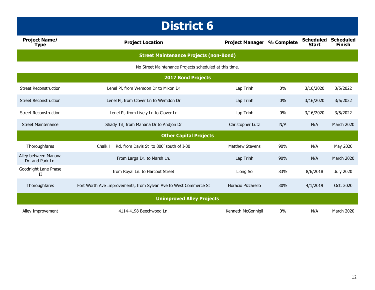| <b>Project Name/</b><br><b>Type</b>      | <b>Project Location</b>                                          | <b>Project Manager</b> | % Complete | <b>Scheduled</b><br><b>Start</b> | <b>Scheduled</b><br><b>Finish</b> |
|------------------------------------------|------------------------------------------------------------------|------------------------|------------|----------------------------------|-----------------------------------|
|                                          | <b>Street Maintenance Projects (non-Bond)</b>                    |                        |            |                                  |                                   |
|                                          | No Street Maintenance Projects scheduled at this time.           |                        |            |                                  |                                   |
|                                          | <b>2017 Bond Projects</b>                                        |                        |            |                                  |                                   |
| <b>Street Reconstruction</b>             | Lenel Pl, from Wemdon Dr to Mixon Dr                             | Lap Trinh              | 0%         | 3/16/2020                        | 3/5/2022                          |
| <b>Street Reconstruction</b>             | Lenel PI, from Clover Ln to Wemdon Dr                            | Lap Trinh              | 0%         | 3/16/2020                        | 3/5/2022                          |
| <b>Street Reconstruction</b>             | Lenel Pl, from Lively Ln to Clover Ln                            | Lap Trinh              | 0%         | 3/16/2020                        | 3/5/2022                          |
| <b>Street Maintenance</b>                | Shady Trl, from Manana Dr to Andjon Dr                           | Christopher Lutz       | N/A        | N/A                              | March 2020                        |
|                                          | <b>Other Capital Projects</b>                                    |                        |            |                                  |                                   |
| Thoroughfares                            | Chalk Hill Rd, from Davis St to 800' south of I-30               | <b>Matthew Stevens</b> | 90%        | N/A                              | May 2020                          |
| Alley between Manana<br>Dr. and Park Ln. | From Larga Dr. to Marsh Ln.                                      | Lap Trinh              | 90%        | N/A                              | <b>March 2020</b>                 |
| Goodnight Lane Phase<br>П                | from Royal Ln. to Harcout Street                                 | Liong So               | 83%        | 8/6/2018                         | <b>July 2020</b>                  |
| Thoroughfares                            | Fort Worth Ave Improvements, from Sylvan Ave to West Commerce St | Horacio Pizzarello     | 30%        | 4/1/2019                         | Oct. 2020                         |
|                                          | <b>Unimproved Alley Projects</b>                                 |                        |            |                                  |                                   |
| Alley Improvement                        | 4114-4198 Beechwood Ln.                                          | Kenneth McGonnigil     | 0%         | N/A                              | March 2020                        |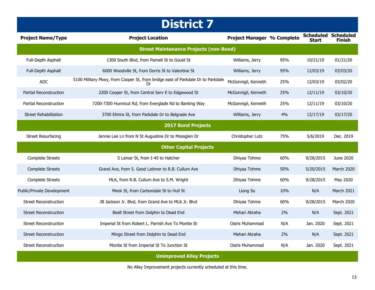| <b>Project Name/Type</b>         | <b>Project Location</b>                                                         | <b>Project Manager % Complete</b> |     | <b>Scheduled Scheduled</b><br>Start | <b>Finish</b> |  |  |  |
|----------------------------------|---------------------------------------------------------------------------------|-----------------------------------|-----|-------------------------------------|---------------|--|--|--|
|                                  | <b>Street Maintenance Projects (non-Bond)</b>                                   |                                   |     |                                     |               |  |  |  |
| Full-Depth Asphalt               | 1300 South Blvd, from Parnell St to Gould St                                    | Williams, Jerry                   | 95% | 10/21/19                            | 01/21/20      |  |  |  |
| Full-Depth Asphalt               | 6000 Woodville St, from Dorris St to Valentine St                               | Williams, Jerry                   | 95% | 12/03/19                            | 03/03/20      |  |  |  |
| <b>AOC</b>                       | 5100 Military Pkwy, from Cooper St, from bridge east of Parkdale Dr to Parkdale | McGonnigil, Kenneth               | 25% | 12/03/19                            | 03/02/20      |  |  |  |
| Partial Reconstruction           | 2200 Cooper St, from Central Serv E to Edgewood St                              | McGonnigil, Kenneth               | 25% | 12/11/19                            | 03/10/20      |  |  |  |
| Partial Reconstruction           | 7200-7300 Hunnicut Rd, from Everglade Rd to Banting Way                         | McGonnigil, Kenneth               | 25% | 12/11/19                            | 03/10/20      |  |  |  |
| <b>Street Rehabilitation</b>     | 3700 Elmira St, from Parkdale Dr to Belgrade Ave                                | Williams, Jerry                   | 4%  | 12/17/19                            | 03/17/20      |  |  |  |
|                                  | <b>2017 Bond Projects</b>                                                       |                                   |     |                                     |               |  |  |  |
| <b>Street Resurfacing</b>        | Jennie Lee Ln from N St Augustine Dr to Mossglen Dr                             | Christopher Lutz                  | 75% | 5/6/2019                            | Dec. 2019     |  |  |  |
|                                  | <b>Other Capital Projects</b>                                                   |                                   |     |                                     |               |  |  |  |
| <b>Complete Streets</b>          | S Lamar St, from I-45 to Hatcher                                                | Dhiyaa Tohme                      | 60% | 9/28/2015                           | June 2020     |  |  |  |
| <b>Complete Streets</b>          | Grand Ave, from S. Good Latimer to R.B. Cullum Ave                              | Dhiyaa Tohme                      | 50% | 5/20/2015                           | March 2020    |  |  |  |
| <b>Complete Streets</b>          | MLK, from R.B. Cullum Ave to S.M. Wright                                        | Dhiyaa Tohme                      | 60% | 9/28/2015                           | May 2020      |  |  |  |
| Public/Private Development       | Meek St, from Carbondale St to Hull St                                          | Liong So                          | 10% | N/A                                 | March 2021    |  |  |  |
| <b>Street Reconstruction</b>     | JB Jackson Jr. Blvd, from Grand Ave to MLK Jr. Blvd                             | Dhiyaa Tohme                      | 60% | 9/28/2015                           | March 2020    |  |  |  |
| <b>Street Reconstruction</b>     | Beall Street from Dolphin to Dead End                                           | Mehari Abraha                     | 2%  | N/A                                 | Sept. 2021    |  |  |  |
| <b>Street Reconstruction</b>     | Imperial St from Robert L. Parrish Ave To Montie St                             | Osiris Muhammad                   | N/A | Jan. 2020                           | Sept. 2021    |  |  |  |
| <b>Street Reconstruction</b>     | Mingo Street from Dolphin to Dead End                                           | Mehari Abraha                     | 2%  | N/A                                 | Sept. 2021    |  |  |  |
| <b>Street Reconstruction</b>     | Montie St from Imperial St To Junction St                                       | Osiris Muhammad                   | N/A | Jan. 2020                           | Sept. 2021    |  |  |  |
| <b>Unimproved Alley Projects</b> |                                                                                 |                                   |     |                                     |               |  |  |  |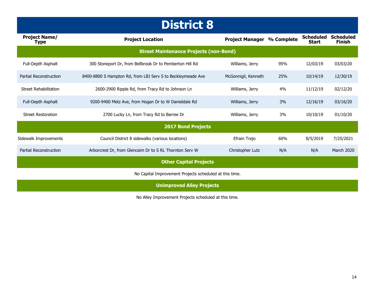| <b>Project Name/</b><br>Type | <b>Project Location</b>                                     | <b>Project Manager</b> | % Complete | <b>Scheduled</b><br><b>Start</b> | <b>Scheduled</b><br><b>Finish</b> |
|------------------------------|-------------------------------------------------------------|------------------------|------------|----------------------------------|-----------------------------------|
|                              | <b>Street Maintenance Projects (non-Bond)</b>               |                        |            |                                  |                                   |
| Full-Depth Asphalt           | 300 Stoneport Dr, from Bellbrook Dr to Pemberton Hill Rd    | Williams, Jerry        | 95%        | 12/03/19                         | 03/03/20                          |
| Partial Reconstruction       | 8400-8800 S Hampton Rd, from LBJ Serv S to Beckleymeade Ave | McGonnigil, Kenneth    | 25%        | 10/14/19                         | 12/30/19                          |
| <b>Street Rehabilitation</b> | 2600-2900 Ripple Rd, from Tracy Rd to Johnson Ln            | Williams, Jerry        | 4%         | 11/12/19                         | 02/12/20                          |
| Full-Depth Asphalt           | 9200-9400 Metz Ave, from Hogan Dr to W Danieldale Rd        | Williams, Jerry        | 3%         | 12/16/19                         | 03/16/20                          |
| <b>Street Restoration</b>    | 2700 Lucky Ln, from Tracy Rd to Barree Dr                   | Williams, Jerry        | 3%         | 10/10/19                         | 01/10/20                          |
|                              | <b>2017 Bond Projects</b>                                   |                        |            |                                  |                                   |
| Sidewalk Improvements        | Council District 8 sidewalks (various locations)            | Efrain Trejo           | 60%        | 8/5/2019                         | 7/25/2021                         |
| Partial Reconstruction       | Arborcrest Dr, from Glencaim Dr to S RL Thornton Serv W     | Christopher Lutz       | N/A        | N/A                              | <b>March 2020</b>                 |
|                              | <b>Other Capital Projects</b>                               |                        |            |                                  |                                   |

No Capital Improvement Projects scheduled at this time.

**Unimproved Alley Projects** 

No Alley Improvement Projects scheduled at this time.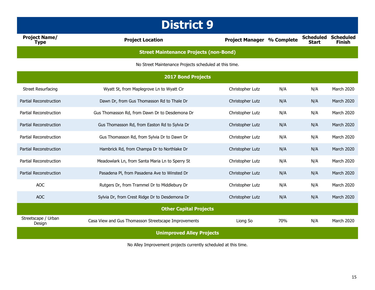| <b>Project Name/</b><br><b>Type</b> | <b>Project Location</b>                                | <b>Project Manager % Complete</b> |     | <b>Scheduled</b><br><b>Start</b> | <b>Scheduled</b><br><b>Finish</b> |  |
|-------------------------------------|--------------------------------------------------------|-----------------------------------|-----|----------------------------------|-----------------------------------|--|
|                                     | <b>Street Maintenance Projects (non-Bond)</b>          |                                   |     |                                  |                                   |  |
|                                     | No Street Maintenance Projects scheduled at this time. |                                   |     |                                  |                                   |  |
|                                     | 2017 Bond Projects                                     |                                   |     |                                  |                                   |  |
| <b>Street Resurfacing</b>           | Wyatt St, from Maplegrove Ln to Wyatt Cir              | Christopher Lutz                  | N/A | N/A                              | March 2020                        |  |
| Partial Reconstruction              | Dawn Dr, from Gus Thomasson Rd to Thale Dr             | Christopher Lutz                  | N/A | N/A                              | March 2020                        |  |
| Partial Reconstruction              | Gus Thomasson Rd, from Dawn Dr to Desdemona Dr         | Christopher Lutz                  | N/A | N/A                              | March 2020                        |  |
| Partial Reconstruction              | Gus Thomasson Rd, from Easton Rd to Sylvia Dr          | Christopher Lutz                  | N/A | N/A                              | March 2020                        |  |
| Partial Reconstruction              | Gus Thomasson Rd, from Sylvia Dr to Dawn Dr            | Christopher Lutz                  | N/A | N/A                              | March 2020                        |  |
| <b>Partial Reconstruction</b>       | Hambrick Rd, from Champa Dr to Northlake Dr            | Christopher Lutz                  | N/A | N/A                              | March 2020                        |  |
| Partial Reconstruction              | Meadowlark Ln, from Santa Maria Ln to Sperry St        | Christopher Lutz                  | N/A | N/A                              | March 2020                        |  |
| <b>Partial Reconstruction</b>       | Pasadena Pl, from Pasadena Ave to Winsted Dr           | Christopher Lutz                  | N/A | N/A                              | March 2020                        |  |
| <b>AOC</b>                          | Rutgers Dr, from Trammel Dr to Middlebury Dr           | Christopher Lutz                  | N/A | N/A                              | March 2020                        |  |
| <b>AOC</b>                          | Sylvia Dr, from Crest Ridge Dr to Desdemona Dr         | Christopher Lutz                  | N/A | N/A                              | March 2020                        |  |
| <b>Other Capital Projects</b>       |                                                        |                                   |     |                                  |                                   |  |
| Streetscape / Urban<br>Design       | Casa View and Gus Thomasson Streetscape Improvements   | Liong So                          | 70% | N/A                              | March 2020                        |  |
| <b>Unimproved Alley Projects</b>    |                                                        |                                   |     |                                  |                                   |  |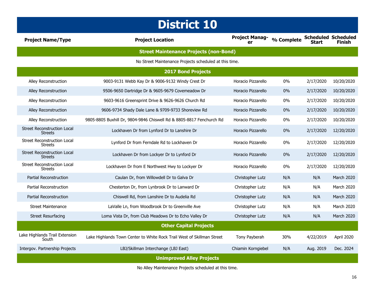| <b>District 10</b>                                   |                                                                        |                             |            |              |                                             |
|------------------------------------------------------|------------------------------------------------------------------------|-----------------------------|------------|--------------|---------------------------------------------|
| <b>Project Name/Type</b>                             | <b>Project Location</b>                                                | <b>Project Manag-</b><br>er | % Complete | <b>Start</b> | <b>Scheduled Scheduled</b><br><b>Finish</b> |
|                                                      | <b>Street Maintenance Projects (non-Bond)</b>                          |                             |            |              |                                             |
|                                                      | No Street Maintenance Projects scheduled at this time.                 |                             |            |              |                                             |
|                                                      | <b>2017 Bond Projects</b>                                              |                             |            |              |                                             |
| Alley Reconstruction                                 | 9003-9131 Webb Kay Dr & 9006-9132 Windy Crest Dr                       | Horacio Pizzarello          | 0%         | 2/17/2020    | 10/20/2020                                  |
| Alley Reconstruction                                 | 9506-9650 Dartridge Dr & 9605-9679 Covemeadow Dr                       | Horacio Pizzarello          | 0%         | 2/17/2020    | 10/20/2020                                  |
| Alley Reconstruction                                 | 9603-9616 Greensprint Drive & 9626-9626 Church Rd                      | Horacio Pizzarello          | 0%         | 2/17/2020    | 10/20/2020                                  |
| Alley Reconstruction                                 | 9606-9734 Shady Dale Lane & 9709-9733 Shoreview Rd                     | Horacio Pizzarello          | 0%         | 2/17/2020    | 10/20/2020                                  |
| <b>Alley Reconstruction</b>                          | 9805-8805 Buxhill Dr, 9804-9846 Chiswell Rd & 8805-8817 Fenchurch Rd   | Horacio Pizzarello          | 0%         | 2/17/2020    | 10/20/2020                                  |
| <b>Street Reconstruction Local</b><br><b>Streets</b> | Lockhaven Dr from Lynford Dr to Lanshire Dr                            | Horacio Pizzarello          | 0%         | 2/17/2020    | 12/20/2020                                  |
| <b>Street Reconstruction Local</b><br><b>Streets</b> | Lynford Dr from Ferndale Rd to Lockhaven Dr                            | Horacio Pizzarello          | $0\%$      | 2/17/2020    | 12/20/2020                                  |
| <b>Street Reconstruction Local</b><br><b>Streets</b> | Lockhaven Dr from Lockyer Dr to Lynford Dr                             | Horacio Pizzarello          | 0%         | 2/17/2020    | 12/20/2020                                  |
| <b>Street Reconstruction Local</b><br><b>Streets</b> | Lockhaven Dr from E Northwest Hwy to Lockyer Dr                        | Horacio Pizzarello          | 0%         | 2/17/2020    | 12/20/2020                                  |
| <b>Partial Reconstruction</b>                        | Caulan Dr, from Willowdell Dr to Galva Dr                              | Christopher Lutz            | N/A        | N/A          | March 2020                                  |
| Partial Reconstruction                               | Chesterton Dr, from Lynbrook Dr to Lanward Dr                          | Christopher Lutz            | N/A        | N/A          | <b>March 2020</b>                           |
| Partial Reconstruction                               | Chiswell Rd, from Lanshire Dr to Audelia Rd                            | Christopher Lutz            | N/A        | N/A          | March 2020                                  |
| <b>Street Maintenance</b>                            | LaValle Ln, from Woodbrook Dr to Greenville Ave                        | Christopher Lutz            | N/A        | N/A          | March 2020                                  |
| <b>Street Resurfacing</b>                            | Loma Vista Dr, from Club Meadows Dr to Echo Valley Dr                  | Christopher Lutz            | N/A        | N/A          | March 2020                                  |
| <b>Other Capital Projects</b>                        |                                                                        |                             |            |              |                                             |
| Lake Highlands Trail Extension<br>South              | Lake Highlands Town Center to White Rock Trail West of Skillman Street | Tony Payberah               | 30%        | 4/22/2019    | April 2020                                  |
| Intergov. Partnership Projects                       | LBJ/Skillman Interchange (LBJ East)                                    | Chiamin Korngiebel          | N/A        | Aug. 2019    | Dec. 2024                                   |
| <b>Unimproved Alley Projects</b>                     |                                                                        |                             |            |              |                                             |

No Alley Maintenance Projects scheduled at this time.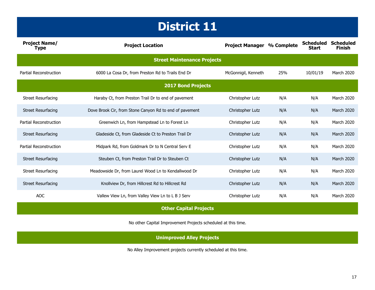| <b>Project Name/</b><br><b>Type</b> | <b>Project Location</b>                                 | <b>Project Manager % Complete</b> |     | <b>Scheduled</b><br><b>Start</b> | <b>Scheduled</b><br><b>Finish</b> |  |
|-------------------------------------|---------------------------------------------------------|-----------------------------------|-----|----------------------------------|-----------------------------------|--|
| <b>Street Maintenance Projects</b>  |                                                         |                                   |     |                                  |                                   |  |
| Partial Reconstruction              | 6000 La Cosa Dr, from Preston Rd to Trails End Dr       | McGonnigil, Kenneth               | 25% | 10/01/19                         | March 2020                        |  |
|                                     | <b>2017 Bond Projects</b>                               |                                   |     |                                  |                                   |  |
| <b>Street Resurfacing</b>           | Haraby Ct, from Preston Trail Dr to end of pavement     | Christopher Lutz                  | N/A | N/A                              | March 2020                        |  |
| <b>Street Resurfacing</b>           | Dove Brook Cir, from Stone Canyon Rd to end of pavement | Christopher Lutz                  | N/A | N/A                              | March 2020                        |  |
| Partial Reconstruction              | Greenwich Ln, from Hampstead Ln to Forest Ln            | Christopher Lutz                  | N/A | N/A                              | March 2020                        |  |
| <b>Street Resurfacing</b>           | Gladeside Ct, from Gladeside Ct to Preston Trail Dr     | Christopher Lutz                  | N/A | N/A                              | <b>March 2020</b>                 |  |
| Partial Reconstruction              | Midpark Rd, from Goldmark Dr to N Central Serv E        | Christopher Lutz                  | N/A | N/A                              | March 2020                        |  |
| <b>Street Resurfacing</b>           | Steuben Ct, from Preston Trail Dr to Steuben Ct         | Christopher Lutz                  | N/A | N/A                              | March 2020                        |  |
| <b>Street Resurfacing</b>           | Meadowside Dr, from Laurel Wood Ln to Kendallwood Dr    | Christopher Lutz                  | N/A | N/A                              | March 2020                        |  |
| <b>Street Resurfacing</b>           | Knollview Dr, from Hillcrest Rd to Hillcrest Rd         | Christopher Lutz                  | N/A | N/A                              | March 2020                        |  |
| <b>AOC</b>                          | Vallew View Ln, from Valley View Ln to L B J Serv       | Christopher Lutz                  | N/A | N/A                              | March 2020                        |  |
| <b>Other Capital Projects</b>       |                                                         |                                   |     |                                  |                                   |  |

No other Capital Improvement Projects scheduled at this time.

**Unimproved Alley Projects**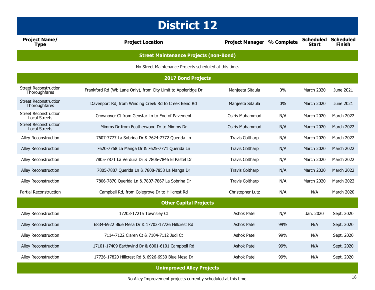| <b>Project Name/</b><br><b>Type</b>                  | <b>Project Location</b>                                       | <b>Project Manager % Complete</b> |       | <b>Scheduled</b><br><b>Start</b> | <b>Scheduled</b><br>Finish |
|------------------------------------------------------|---------------------------------------------------------------|-----------------------------------|-------|----------------------------------|----------------------------|
|                                                      | <b>Street Maintenance Projects (non-Bond)</b>                 |                                   |       |                                  |                            |
|                                                      | No Street Maintenance Projects scheduled at this time.        |                                   |       |                                  |                            |
|                                                      | <b>2017 Bond Projects</b>                                     |                                   |       |                                  |                            |
| <b>Street Reconstruction</b><br>Thoroughfares        | Frankford Rd (Wb Lane Only), from City Limit to Appleridge Dr | Manieeta Sitaula                  | $0\%$ | March 2020                       | June 2021                  |
| <b>Street Reconstruction</b><br>Thoroughfares        | Davenport Rd, from Winding Creek Rd to Creek Bend Rd          | Manjeeta Sitaula                  | $0\%$ | <b>March 2020</b>                | June 2021                  |
| <b>Street Reconstruction</b><br><b>Local Streets</b> | Crownover Ct from Genstar Ln to End of Pavement               | Osiris Muhammad                   | N/A   | March 2020                       | <b>March 2022</b>          |
| <b>Street Reconstruction</b><br><b>Local Streets</b> | Mimms Dr from Featherwood Dr to Mimms Dr                      | Osiris Muhammad                   | N/A   | March 2020                       | March 2022                 |
| Alley Reconstruction                                 | 7607-7777 La Sobrina Dr & 7624-7772 Querida Ln                | <b>Travis Coltharp</b>            | N/A   | March 2020                       | <b>March 2022</b>          |
| Alley Reconstruction                                 | 7620-7768 La Manga Dr & 7625-7771 Querida Ln                  | <b>Travis Coltharp</b>            | N/A   | March 2020                       | <b>March 2022</b>          |
| Alley Reconstruction                                 | 7805-7871 La Verdura Dr & 7806-7846 El Pastel Dr              | <b>Travis Coltharp</b>            | N/A   | March 2020                       | <b>March 2022</b>          |
| Alley Reconstruction                                 | 7805-7887 Querida Ln & 7808-7858 La Manga Dr                  | <b>Travis Coltharp</b>            | N/A   | March 2020                       | March 2022                 |
| Alley Reconstruction                                 | 7806-7870 Querida Ln & 7807-7867 La Sobrina Dr                | <b>Travis Coltharp</b>            | N/A   | March 2020                       | <b>March 2022</b>          |
| Partial Reconstruction                               | Campbell Rd, from Colegrove Dr to Hillcrest Rd                | Christopher Lutz                  | N/A   | N/A                              | <b>March 2020</b>          |
| <b>Other Capital Projects</b>                        |                                                               |                                   |       |                                  |                            |
| Alley Reconstruction                                 | 17203-17215 Townsley Ct                                       | Ashok Patel                       | N/A   | Jan. 2020                        | Sept. 2020                 |
| Alley Reconstruction                                 | 6834-6922 Blue Mesa Dr & 17702-17726 Hillcrest Rd             | <b>Ashok Patel</b>                | 99%   | N/A                              | Sept. 2020                 |
| Alley Reconstruction                                 | 7114-7122 Claren Ct & 7104-7112 Judi Ct                       | Ashok Patel                       | 99%   | N/A                              | Sept. 2020                 |
| Alley Reconstruction                                 | 17101-17409 Earthwind Dr & 6001-6101 Campbell Rd              | <b>Ashok Patel</b>                | 99%   | N/A                              | Sept. 2020                 |
| Alley Reconstruction                                 | 17726-17820 Hillcrest Rd & 6926-6930 Blue Mesa Dr             | Ashok Patel                       | 99%   | N/A                              | Sept. 2020                 |
|                                                      | <b>Unimproved Alley Projects</b>                              |                                   |       |                                  |                            |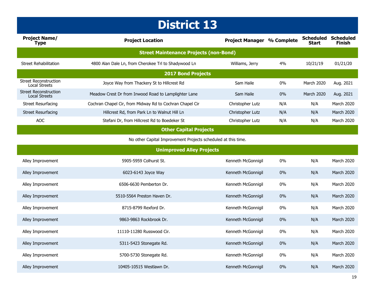| <b>Project Name/</b><br>Type                  | <b>Project Location</b>                                  | <b>Project Manager</b> | % Complete | <b>Scheduled</b><br><b>Start</b> | <b>Scheduled</b><br><b>Finish</b> |  |
|-----------------------------------------------|----------------------------------------------------------|------------------------|------------|----------------------------------|-----------------------------------|--|
| <b>Street Maintenance Projects (non-Bond)</b> |                                                          |                        |            |                                  |                                   |  |
| Street Rehabilitation                         | 4800 Alan Dale Ln, from Cherokee Trl to Shadywood Ln     | Williams, Jerry        | 4%         | 10/21/19                         | 01/21/20                          |  |
| <b>2017 Bond Projects</b>                     |                                                          |                        |            |                                  |                                   |  |
| Street Reconstruction<br>Local Streets        | Joyce Way from Thackery St to Hillcrest Rd               | Sam Haile              | $0\%$      | March 2020                       | Aug. 2021                         |  |
| <b>Street Reconstruction</b><br>Local Streets | Meadow Crest Dr from Inwood Road to Lamplighter Lane     | Sam Haile              | $0\%$      | March 2020                       | Aug. 2021                         |  |
| Street Resurfacing                            | Cochran Chapel Cir, from Midway Rd to Cochran Chapel Cir | Christopher Lutz       | N/A        | N/A                              | March 2020                        |  |
| <b>Street Resurfacing</b>                     | Hillcrest Rd, from Park Ln to Walnut Hill Ln             | Christopher Lutz       | N/A        | N/A                              | <b>March 2020</b>                 |  |
| <b>AOC</b>                                    | Stefani Dr, from Hillcrest Rd to Boedeker St             | Christopher Lutz       | N/A        | N/A                              | <b>March 2020</b>                 |  |
|                                               | <b>Other Capital Projects</b>                            |                        |            |                                  |                                   |  |

No other Capital Improvement Projects scheduled at this time.

| <b>Unimproved Alley Projects</b> |                             |                    |       |     |                   |
|----------------------------------|-----------------------------|--------------------|-------|-----|-------------------|
| Alley Improvement                | 5905-5959 Colhurst St.      | Kenneth McGonnigil | $0\%$ | N/A | <b>March 2020</b> |
| Alley Improvement                | 6023-6143 Joyce Way         | Kenneth McGonnigil | 0%    | N/A | March 2020        |
| Alley Improvement                | 6506-6630 Pemberton Dr.     | Kenneth McGonnigil | $0\%$ | N/A | <b>March 2020</b> |
| Alley Improvement                | 5510-5564 Preston Haven Dr. | Kenneth McGonnigil | $0\%$ | N/A | March 2020        |
| Alley Improvement                | 8715-8799 Rexford Dr.       | Kenneth McGonnigil | $0\%$ | N/A | <b>March 2020</b> |
| Alley Improvement                | 9863-9863 Rockbrook Dr.     | Kenneth McGonnigil | $0\%$ | N/A | <b>March 2020</b> |
| Alley Improvement                | 11110-11280 Russwood Cir.   | Kenneth McGonnigil | 0%    | N/A | March 2020        |
| Alley Improvement                | 5311-5423 Stonegate Rd.     | Kenneth McGonnigil | $0\%$ | N/A | <b>March 2020</b> |
| Alley Improvement                | 5700-5730 Stonegate Rd.     | Kenneth McGonnigil | $0\%$ | N/A | March 2020        |
| Alley Improvement                | 10405-10515 Westlawn Dr.    | Kenneth McGonnigil | $0\%$ | N/A | <b>March 2020</b> |